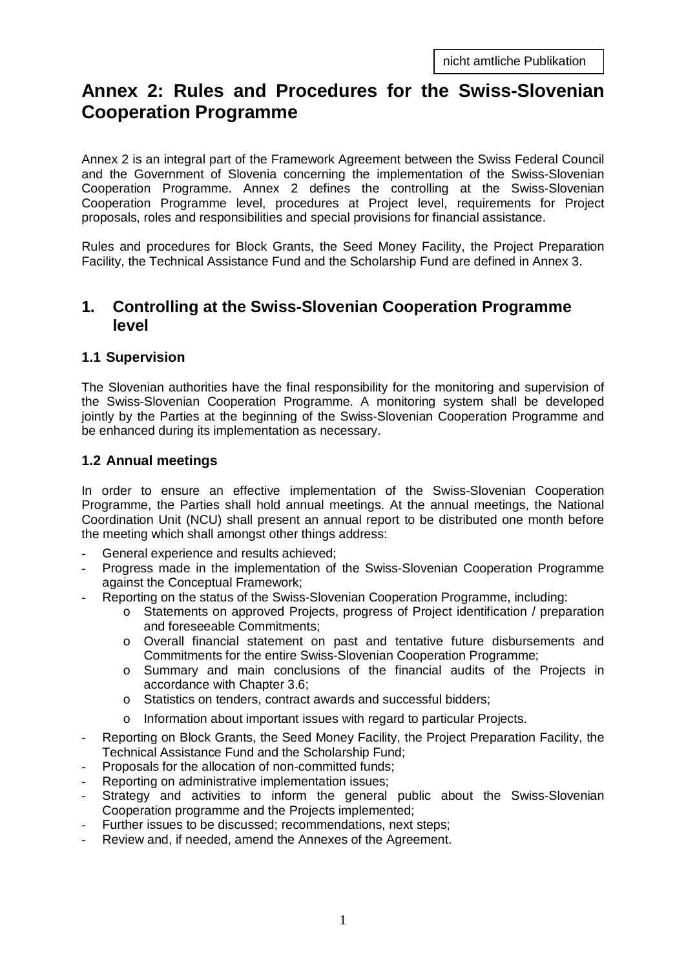# **Annex 2: Rules and Procedures for the Swiss-Slovenian Cooperation Programme**

Annex 2 is an integral part of the Framework Agreement between the Swiss Federal Council and the Government of Slovenia concerning the implementation of the Swiss-Slovenian Cooperation Programme. Annex 2 defines the controlling at the Swiss-Slovenian Cooperation Programme level, procedures at Project level, requirements for Project proposals, roles and responsibilities and special provisions for financial assistance.

Rules and procedures for Block Grants, the Seed Money Facility, the Project Preparation Facility, the Technical Assistance Fund and the Scholarship Fund are defined in Annex 3.

# **1. Controlling at the Swiss-Slovenian Cooperation Programme level**

#### **1.1 Supervision**

The Slovenian authorities have the final responsibility for the monitoring and supervision of the Swiss-Slovenian Cooperation Programme. A monitoring system shall be developed jointly by the Parties at the beginning of the Swiss-Slovenian Cooperation Programme and be enhanced during its implementation as necessary.

#### **1.2 Annual meetings**

In order to ensure an effective implementation of the Swiss-Slovenian Cooperation Programme, the Parties shall hold annual meetings. At the annual meetings, the National Coordination Unit (NCU) shall present an annual report to be distributed one month before the meeting which shall amongst other things address:

- General experience and results achieved;
- Progress made in the implementation of the Swiss-Slovenian Cooperation Programme against the Conceptual Framework;
- Reporting on the status of the Swiss-Slovenian Cooperation Programme, including:
	- o Statements on approved Projects, progress of Project identification / preparation and foreseeable Commitments;
	- o Overall financial statement on past and tentative future disbursements and Commitments for the entire Swiss-Slovenian Cooperation Programme;
	- o Summary and main conclusions of the financial audits of the Projects in accordance with Chapter 3.6;
	- o Statistics on tenders, contract awards and successful bidders;
	- o Information about important issues with regard to particular Projects.
- Reporting on Block Grants, the Seed Money Facility, the Project Preparation Facility, the Technical Assistance Fund and the Scholarship Fund;
- Proposals for the allocation of non-committed funds;
- Reporting on administrative implementation issues;
- Strategy and activities to inform the general public about the Swiss-Slovenian Cooperation programme and the Projects implemented;
- Further issues to be discussed; recommendations, next steps;
- Review and, if needed, amend the Annexes of the Agreement.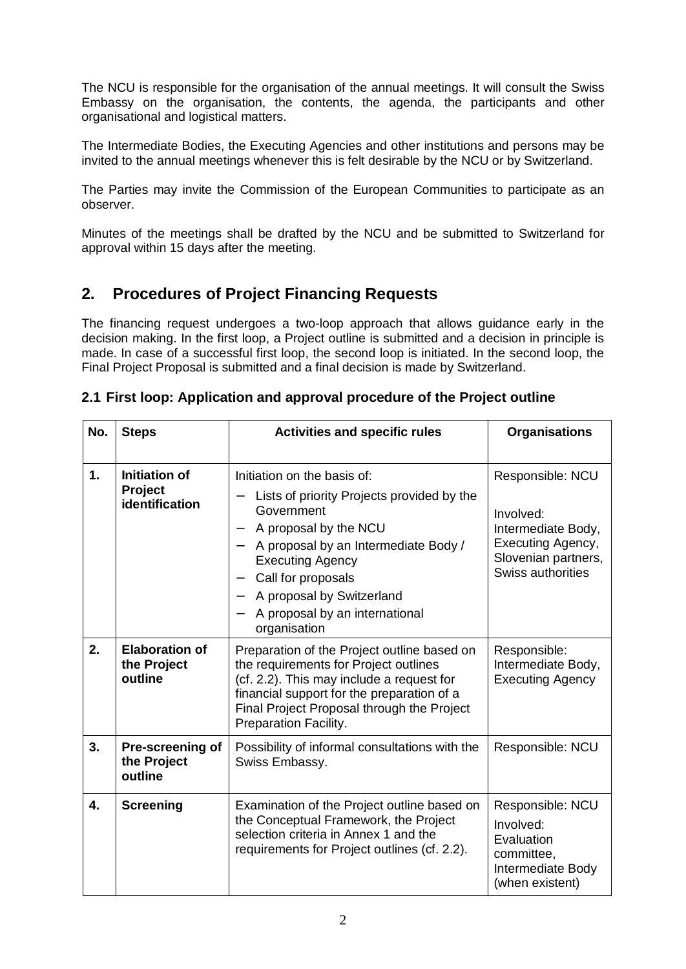The NCU is responsible for the organisation of the annual meetings. It will consult the Swiss Embassy on the organisation, the contents, the agenda, the participants and other organisational and logistical matters.

The Intermediate Bodies, the Executing Agencies and other institutions and persons may be invited to the annual meetings whenever this is felt desirable by the NCU or by Switzerland.

The Parties may invite the Commission of the European Communities to participate as an observer.

Minutes of the meetings shall be drafted by the NCU and be submitted to Switzerland for approval within 15 days after the meeting.

# **2. Procedures of Project Financing Requests**

The financing request undergoes a two-loop approach that allows guidance early in the decision making. In the first loop, a Project outline is submitted and a decision in principle is made. In case of a successful first loop, the second loop is initiated. In the second loop, the Final Project Proposal is submitted and a final decision is made by Switzerland.

| No. | <b>Steps</b>                                             | <b>Activities and specific rules</b>                                                                                                                                                                                                                                                                                                                                                                   | <b>Organisations</b>                                                                                                 |
|-----|----------------------------------------------------------|--------------------------------------------------------------------------------------------------------------------------------------------------------------------------------------------------------------------------------------------------------------------------------------------------------------------------------------------------------------------------------------------------------|----------------------------------------------------------------------------------------------------------------------|
| 1.  | <b>Initiation of</b><br><b>Project</b><br>identification | Initiation on the basis of:<br>Lists of priority Projects provided by the<br>—<br>Government<br>A proposal by the NCU<br>$\overline{\phantom{0}}$<br>A proposal by an Intermediate Body /<br>$\overline{\phantom{0}}$<br><b>Executing Agency</b><br>Call for proposals<br>$\qquad \qquad -$<br>A proposal by Switzerland<br>$\overline{\phantom{0}}$<br>A proposal by an international<br>organisation | Responsible: NCU<br>Involved:<br>Intermediate Body,<br>Executing Agency,<br>Slovenian partners,<br>Swiss authorities |
| 2.  | <b>Elaboration of</b><br>the Project<br>outline          | Preparation of the Project outline based on<br>the requirements for Project outlines<br>(cf. 2.2). This may include a request for<br>financial support for the preparation of a<br>Final Project Proposal through the Project<br>Preparation Facility.                                                                                                                                                 | Responsible:<br>Intermediate Body,<br><b>Executing Agency</b>                                                        |
| 3.  | Pre-screening of<br>the Project<br>outline               | Possibility of informal consultations with the<br>Swiss Embassy.                                                                                                                                                                                                                                                                                                                                       | Responsible: NCU                                                                                                     |
| 4.  | <b>Screening</b>                                         | Examination of the Project outline based on<br>the Conceptual Framework, the Project<br>selection criteria in Annex 1 and the<br>requirements for Project outlines (cf. 2.2).                                                                                                                                                                                                                          | Responsible: NCU<br>Involved:<br>Evaluation<br>committee,<br>Intermediate Body<br>(when existent)                    |

#### **2.1 First loop: Application and approval procedure of the Project outline**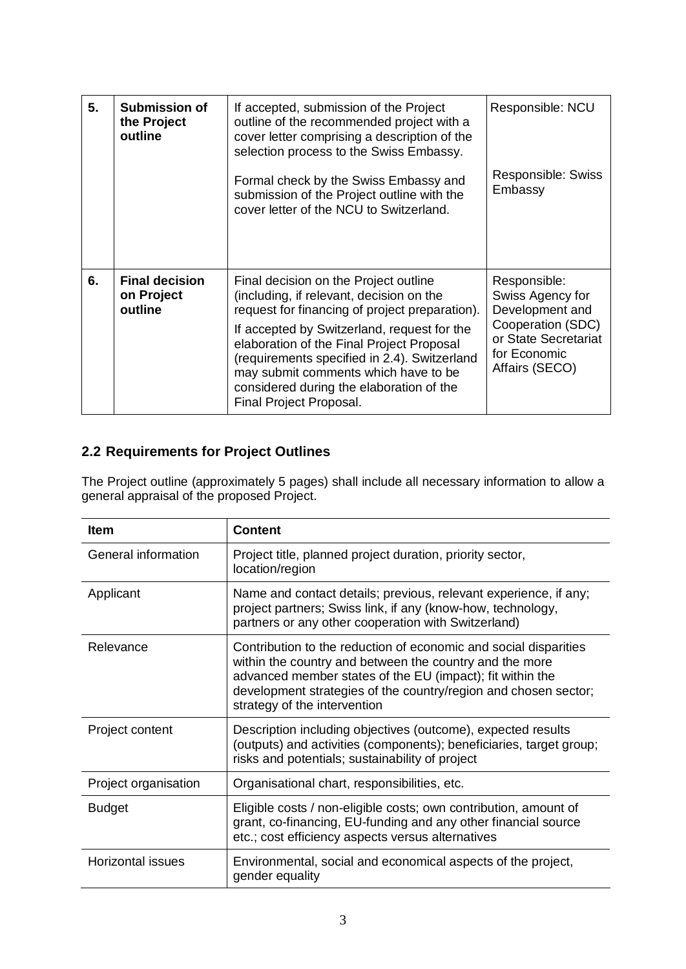| 5. | Submission of<br>the Project<br>outline        | If accepted, submission of the Project<br>outline of the recommended project with a<br>cover letter comprising a description of the<br>selection process to the Swiss Embassy.<br>Formal check by the Swiss Embassy and<br>submission of the Project outline with the<br>cover letter of the NCU to Switzerland.                                                                               | Responsible: NCU<br>Responsible: Swiss<br>Embassy                                                                                  |
|----|------------------------------------------------|------------------------------------------------------------------------------------------------------------------------------------------------------------------------------------------------------------------------------------------------------------------------------------------------------------------------------------------------------------------------------------------------|------------------------------------------------------------------------------------------------------------------------------------|
| 6. | <b>Final decision</b><br>on Project<br>outline | Final decision on the Project outline<br>(including, if relevant, decision on the<br>request for financing of project preparation).<br>If accepted by Switzerland, request for the<br>elaboration of the Final Project Proposal<br>(requirements specified in 2.4). Switzerland<br>may submit comments which have to be<br>considered during the elaboration of the<br>Final Project Proposal. | Responsible:<br>Swiss Agency for<br>Development and<br>Cooperation (SDC)<br>or State Secretariat<br>for Economic<br>Affairs (SECO) |

## **2.2 Requirements for Project Outlines**

The Project outline (approximately 5 pages) shall include all necessary information to allow a general appraisal of the proposed Project.

| <b>Item</b>          | <b>Content</b>                                                                                                                                                                                                                                                                              |  |
|----------------------|---------------------------------------------------------------------------------------------------------------------------------------------------------------------------------------------------------------------------------------------------------------------------------------------|--|
| General information  | Project title, planned project duration, priority sector,<br>location/region                                                                                                                                                                                                                |  |
| Applicant            | Name and contact details; previous, relevant experience, if any;<br>project partners; Swiss link, if any (know-how, technology,<br>partners or any other cooperation with Switzerland)                                                                                                      |  |
| Relevance            | Contribution to the reduction of economic and social disparities<br>within the country and between the country and the more<br>advanced member states of the EU (impact); fit within the<br>development strategies of the country/region and chosen sector;<br>strategy of the intervention |  |
| Project content      | Description including objectives (outcome), expected results<br>(outputs) and activities (components); beneficiaries, target group;<br>risks and potentials; sustainability of project                                                                                                      |  |
| Project organisation | Organisational chart, responsibilities, etc.                                                                                                                                                                                                                                                |  |
| <b>Budget</b>        | Eligible costs / non-eligible costs; own contribution, amount of<br>grant, co-financing, EU-funding and any other financial source<br>etc.; cost efficiency aspects versus alternatives                                                                                                     |  |
| Horizontal issues    | Environmental, social and economical aspects of the project,<br>gender equality                                                                                                                                                                                                             |  |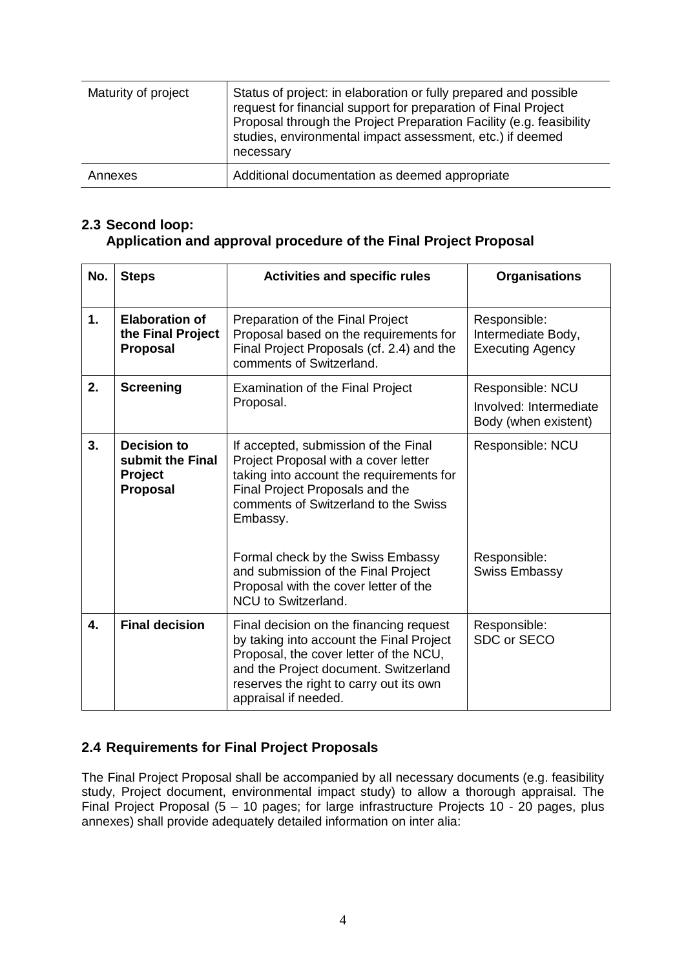| Maturity of project | Status of project: in elaboration or fully prepared and possible<br>request for financial support for preparation of Final Project<br>Proposal through the Project Preparation Facility (e.g. feasibility<br>studies, environmental impact assessment, etc.) if deemed<br>necessary |
|---------------------|-------------------------------------------------------------------------------------------------------------------------------------------------------------------------------------------------------------------------------------------------------------------------------------|
| Annexes             | Additional documentation as deemed appropriate                                                                                                                                                                                                                                      |

### **2.3 Second loop: Application and approval procedure of the Final Project Proposal**

| No.                                                                        | <b>Steps</b>                                                  | <b>Activities and specific rules</b>                                                                                                                                                                                                                                                        | <b>Organisations</b>                                               |
|----------------------------------------------------------------------------|---------------------------------------------------------------|---------------------------------------------------------------------------------------------------------------------------------------------------------------------------------------------------------------------------------------------------------------------------------------------|--------------------------------------------------------------------|
| 1.                                                                         | <b>Elaboration of</b><br>the Final Project<br><b>Proposal</b> | Preparation of the Final Project<br>Proposal based on the requirements for<br>Final Project Proposals (cf. 2.4) and the<br>comments of Switzerland.                                                                                                                                         | Responsible:<br>Intermediate Body,<br><b>Executing Agency</b>      |
| 2.                                                                         | <b>Screening</b>                                              | <b>Examination of the Final Project</b><br>Proposal.                                                                                                                                                                                                                                        | Responsible: NCU<br>Involved: Intermediate<br>Body (when existent) |
| 3.<br><b>Decision to</b><br>submit the Final<br>Project<br><b>Proposal</b> |                                                               | If accepted, submission of the Final<br>Project Proposal with a cover letter<br>taking into account the requirements for<br>Final Project Proposals and the<br>comments of Switzerland to the Swiss<br>Embassy.<br>Formal check by the Swiss Embassy<br>and submission of the Final Project | Responsible: NCU<br>Responsible:<br><b>Swiss Embassy</b>           |
|                                                                            |                                                               | Proposal with the cover letter of the<br><b>NCU</b> to Switzerland.                                                                                                                                                                                                                         |                                                                    |
| 4.                                                                         | <b>Final decision</b>                                         | Final decision on the financing request<br>by taking into account the Final Project<br>Proposal, the cover letter of the NCU,<br>and the Project document. Switzerland<br>reserves the right to carry out its own<br>appraisal if needed.                                                   | Responsible:<br>SDC or SECO                                        |

### **2.4 Requirements for Final Project Proposals**

The Final Project Proposal shall be accompanied by all necessary documents (e.g. feasibility study, Project document, environmental impact study) to allow a thorough appraisal. The Final Project Proposal (5 – 10 pages; for large infrastructure Projects 10 - 20 pages, plus annexes) shall provide adequately detailed information on inter alia: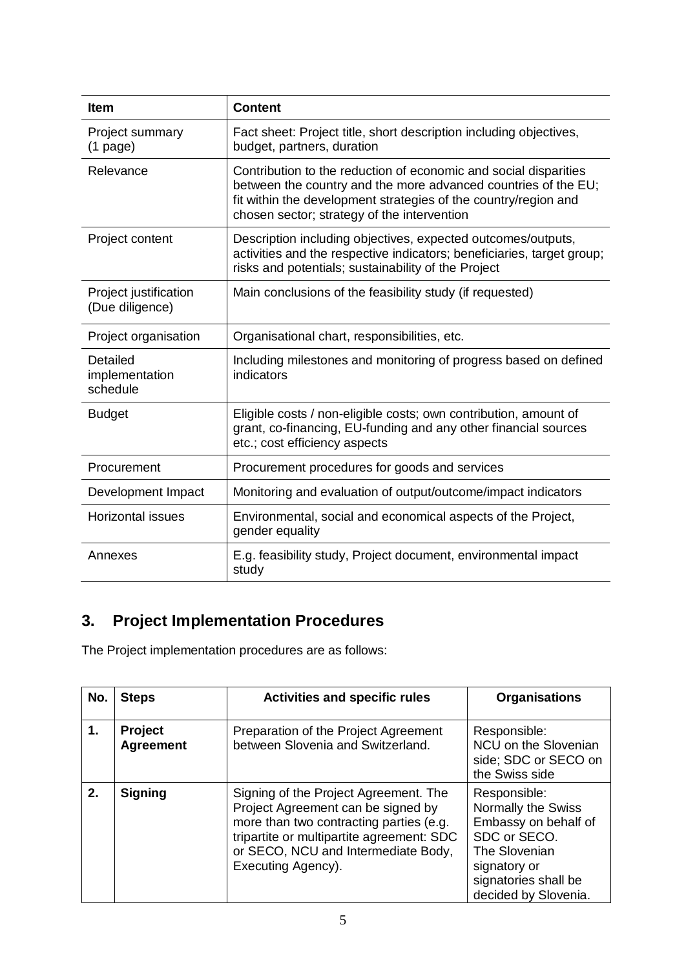| <b>Item</b>                              | <b>Content</b>                                                                                                                                                                                                                                       |  |
|------------------------------------------|------------------------------------------------------------------------------------------------------------------------------------------------------------------------------------------------------------------------------------------------------|--|
| Project summary<br>$(1$ page)            | Fact sheet: Project title, short description including objectives,<br>budget, partners, duration                                                                                                                                                     |  |
| Relevance                                | Contribution to the reduction of economic and social disparities<br>between the country and the more advanced countries of the EU;<br>fit within the development strategies of the country/region and<br>chosen sector; strategy of the intervention |  |
| Project content                          | Description including objectives, expected outcomes/outputs,<br>activities and the respective indicators; beneficiaries, target group;<br>risks and potentials; sustainability of the Project                                                        |  |
| Project justification<br>(Due diligence) | Main conclusions of the feasibility study (if requested)                                                                                                                                                                                             |  |
| Project organisation                     | Organisational chart, responsibilities, etc.                                                                                                                                                                                                         |  |
| Detailed<br>implementation<br>schedule   | Including milestones and monitoring of progress based on defined<br>indicators                                                                                                                                                                       |  |
| <b>Budget</b>                            | Eligible costs / non-eligible costs; own contribution, amount of<br>grant, co-financing, EU-funding and any other financial sources<br>etc.; cost efficiency aspects                                                                                 |  |
| Procurement                              | Procurement procedures for goods and services                                                                                                                                                                                                        |  |
| Development Impact                       | Monitoring and evaluation of output/outcome/impact indicators                                                                                                                                                                                        |  |
| <b>Horizontal issues</b>                 | Environmental, social and economical aspects of the Project,<br>gender equality                                                                                                                                                                      |  |
| Annexes                                  | E.g. feasibility study, Project document, environmental impact<br>study                                                                                                                                                                              |  |

# **3. Project Implementation Procedures**

The Project implementation procedures are as follows:

| No. | <b>Steps</b>                | <b>Activities and specific rules</b>                                                                                                                                                                                             | <b>Organisations</b>                                                                                                                                        |
|-----|-----------------------------|----------------------------------------------------------------------------------------------------------------------------------------------------------------------------------------------------------------------------------|-------------------------------------------------------------------------------------------------------------------------------------------------------------|
| 1.  | Project<br><b>Agreement</b> | Preparation of the Project Agreement<br>between Slovenia and Switzerland.                                                                                                                                                        | Responsible:<br>NCU on the Slovenian<br>side; SDC or SECO on<br>the Swiss side                                                                              |
| 2.  | <b>Signing</b>              | Signing of the Project Agreement. The<br>Project Agreement can be signed by<br>more than two contracting parties (e.g.<br>tripartite or multipartite agreement: SDC<br>or SECO, NCU and Intermediate Body,<br>Executing Agency). | Responsible:<br>Normally the Swiss<br>Embassy on behalf of<br>SDC or SECO.<br>The Slovenian<br>signatory or<br>signatories shall be<br>decided by Slovenia. |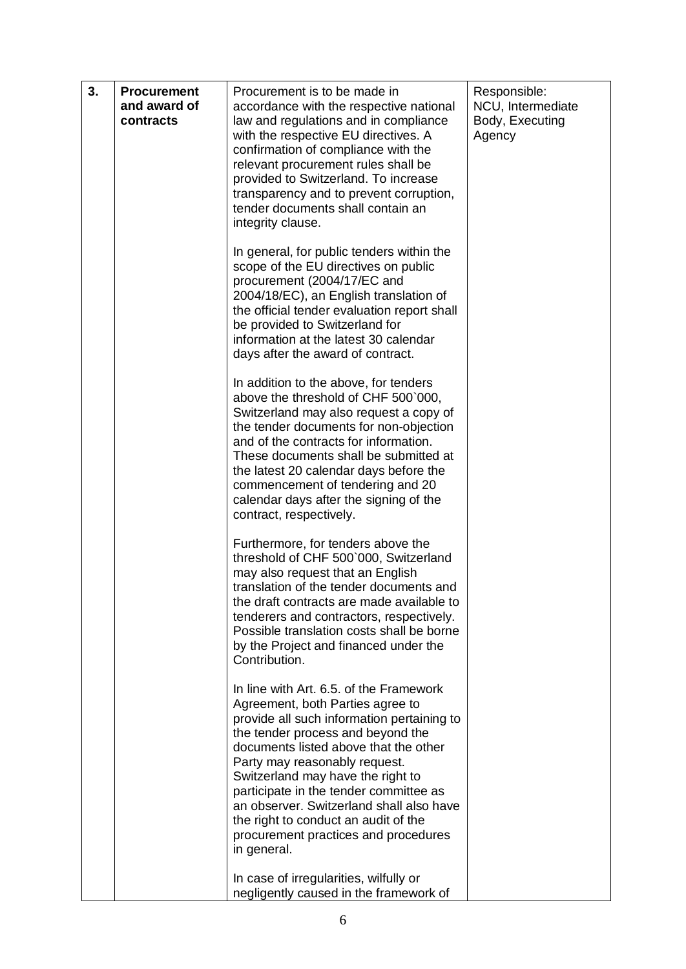| 3. | <b>Procurement</b><br>and award of<br>contracts | Procurement is to be made in<br>accordance with the respective national<br>law and regulations and in compliance<br>with the respective EU directives. A<br>confirmation of compliance with the<br>relevant procurement rules shall be<br>provided to Switzerland. To increase<br>transparency and to prevent corruption,<br>tender documents shall contain an<br>integrity clause.                                                                                | Responsible:<br>NCU, Intermediate<br>Body, Executing<br>Agency |
|----|-------------------------------------------------|--------------------------------------------------------------------------------------------------------------------------------------------------------------------------------------------------------------------------------------------------------------------------------------------------------------------------------------------------------------------------------------------------------------------------------------------------------------------|----------------------------------------------------------------|
|    |                                                 | In general, for public tenders within the<br>scope of the EU directives on public<br>procurement (2004/17/EC and<br>2004/18/EC), an English translation of<br>the official tender evaluation report shall<br>be provided to Switzerland for<br>information at the latest 30 calendar<br>days after the award of contract.                                                                                                                                          |                                                                |
|    |                                                 | In addition to the above, for tenders<br>above the threshold of CHF 500`000,<br>Switzerland may also request a copy of<br>the tender documents for non-objection<br>and of the contracts for information.<br>These documents shall be submitted at<br>the latest 20 calendar days before the<br>commencement of tendering and 20<br>calendar days after the signing of the<br>contract, respectively.                                                              |                                                                |
|    |                                                 | Furthermore, for tenders above the<br>threshold of CHF 500`000, Switzerland<br>may also request that an English<br>translation of the tender documents and<br>the draft contracts are made available to<br>tenderers and contractors, respectively.<br>Possible translation costs shall be borne<br>by the Project and financed under the<br>Contribution.                                                                                                         |                                                                |
|    |                                                 | In line with Art. 6.5. of the Framework<br>Agreement, both Parties agree to<br>provide all such information pertaining to<br>the tender process and beyond the<br>documents listed above that the other<br>Party may reasonably request.<br>Switzerland may have the right to<br>participate in the tender committee as<br>an observer. Switzerland shall also have<br>the right to conduct an audit of the<br>procurement practices and procedures<br>in general. |                                                                |
|    |                                                 | In case of irregularities, wilfully or<br>negligently caused in the framework of                                                                                                                                                                                                                                                                                                                                                                                   |                                                                |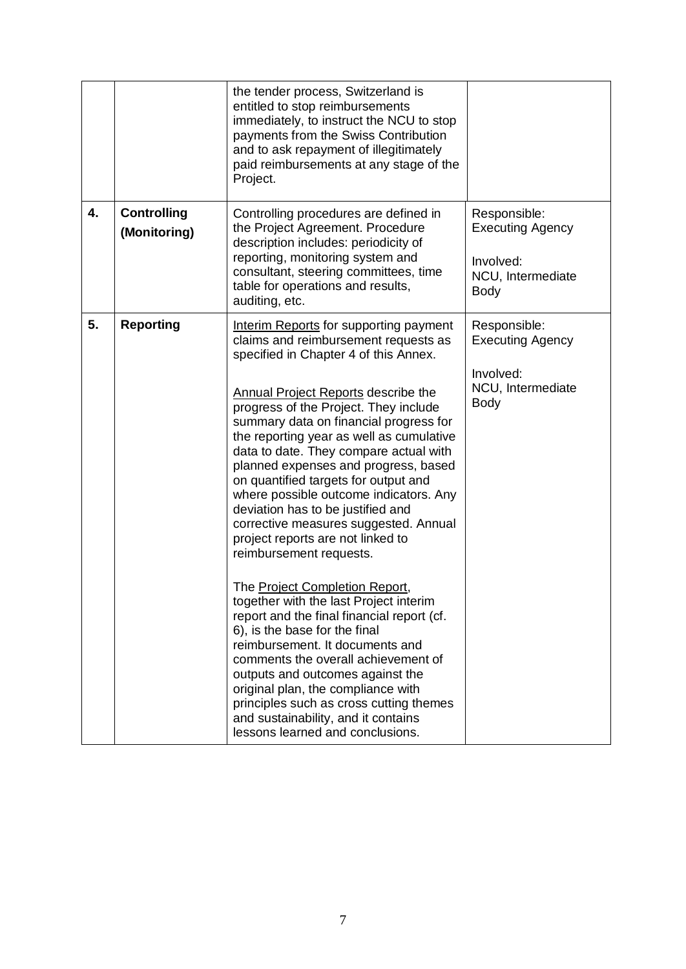|    |                                    | the tender process, Switzerland is<br>entitled to stop reimbursements<br>immediately, to instruct the NCU to stop<br>payments from the Swiss Contribution<br>and to ask repayment of illegitimately<br>paid reimbursements at any stage of the<br>Project.                                                                                                                                                                                                                                                                                                                                                                                                                                                                                                                                                                                                                                      |                                                                                          |
|----|------------------------------------|-------------------------------------------------------------------------------------------------------------------------------------------------------------------------------------------------------------------------------------------------------------------------------------------------------------------------------------------------------------------------------------------------------------------------------------------------------------------------------------------------------------------------------------------------------------------------------------------------------------------------------------------------------------------------------------------------------------------------------------------------------------------------------------------------------------------------------------------------------------------------------------------------|------------------------------------------------------------------------------------------|
| 4. | <b>Controlling</b><br>(Monitoring) | Controlling procedures are defined in<br>the Project Agreement. Procedure<br>description includes: periodicity of<br>reporting, monitoring system and<br>consultant, steering committees, time<br>table for operations and results,<br>auditing, etc.                                                                                                                                                                                                                                                                                                                                                                                                                                                                                                                                                                                                                                           | Responsible:<br><b>Executing Agency</b><br>Involved:<br>NCU, Intermediate<br><b>Body</b> |
| 5. | <b>Reporting</b>                   | Interim Reports for supporting payment<br>claims and reimbursement requests as<br>specified in Chapter 4 of this Annex.<br><b>Annual Project Reports describe the</b><br>progress of the Project. They include<br>summary data on financial progress for<br>the reporting year as well as cumulative<br>data to date. They compare actual with<br>planned expenses and progress, based<br>on quantified targets for output and<br>where possible outcome indicators. Any<br>deviation has to be justified and<br>corrective measures suggested. Annual<br>project reports are not linked to<br>reimbursement requests.<br>The Project Completion Report,<br>together with the last Project interim<br>report and the final financial report (cf.<br>6), is the base for the final<br>reimbursement. It documents and<br>comments the overall achievement of<br>outputs and outcomes against the | Responsible:<br><b>Executing Agency</b><br>Involved:<br>NCU, Intermediate<br><b>Body</b> |
|    |                                    | original plan, the compliance with<br>principles such as cross cutting themes<br>and sustainability, and it contains<br>lessons learned and conclusions.                                                                                                                                                                                                                                                                                                                                                                                                                                                                                                                                                                                                                                                                                                                                        |                                                                                          |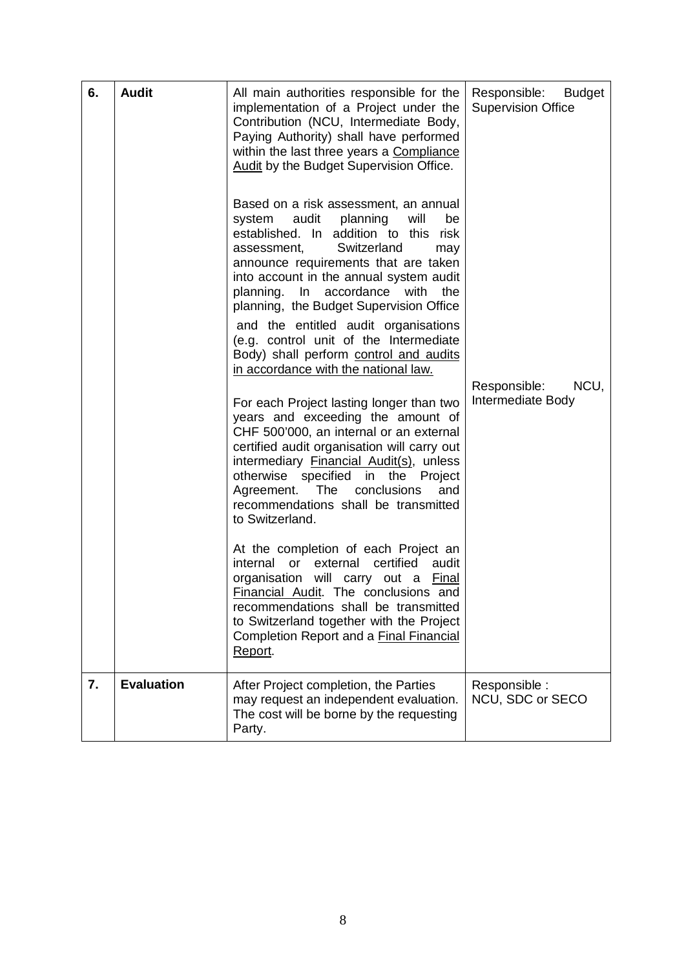| 6. | <b>Audit</b>      | All main authorities responsible for the<br>implementation of a Project under the<br>Contribution (NCU, Intermediate Body,<br>Paying Authority) shall have performed<br>within the last three years a Compliance<br>Audit by the Budget Supervision Office.<br>Based on a risk assessment, an annual<br>system<br>audit<br>planning<br>will<br>be<br>established. In addition to this<br>risk<br>Switzerland<br>assessment,<br>may<br>announce requirements that are taken<br>into account in the annual system audit<br>planning. In accordance with<br>the<br>planning, the Budget Supervision Office<br>and the entitled audit organisations<br>(e.g. control unit of the Intermediate<br>Body) shall perform control and audits<br>in accordance with the national law.<br>For each Project lasting longer than two<br>years and exceeding the amount of<br>CHF 500'000, an internal or an external<br>certified audit organisation will carry out<br>intermediary Financial Audit(s), unless<br>otherwise specified in<br>the<br>Project<br>conclusions<br>Agreement.<br>The<br>and<br>recommendations shall be transmitted<br>to Switzerland.<br>At the completion of each Project an<br>certified<br>audit<br>internal<br>or<br>external<br>organisation will carry out a Final<br>Financial Audit. The conclusions and | Responsible:<br>Budget<br><b>Supervision Office</b><br>Responsible:<br>NCU.<br>Intermediate Body |
|----|-------------------|--------------------------------------------------------------------------------------------------------------------------------------------------------------------------------------------------------------------------------------------------------------------------------------------------------------------------------------------------------------------------------------------------------------------------------------------------------------------------------------------------------------------------------------------------------------------------------------------------------------------------------------------------------------------------------------------------------------------------------------------------------------------------------------------------------------------------------------------------------------------------------------------------------------------------------------------------------------------------------------------------------------------------------------------------------------------------------------------------------------------------------------------------------------------------------------------------------------------------------------------------------------------------------------------------------------------------------|--------------------------------------------------------------------------------------------------|
|    |                   | recommendations shall be transmitted<br>to Switzerland together with the Project<br>Completion Report and a Final Financial<br>Report.                                                                                                                                                                                                                                                                                                                                                                                                                                                                                                                                                                                                                                                                                                                                                                                                                                                                                                                                                                                                                                                                                                                                                                                         |                                                                                                  |
| 7. | <b>Evaluation</b> | After Project completion, the Parties<br>may request an independent evaluation.<br>The cost will be borne by the requesting<br>Party.                                                                                                                                                                                                                                                                                                                                                                                                                                                                                                                                                                                                                                                                                                                                                                                                                                                                                                                                                                                                                                                                                                                                                                                          | Responsible :<br>NCU, SDC or SECO                                                                |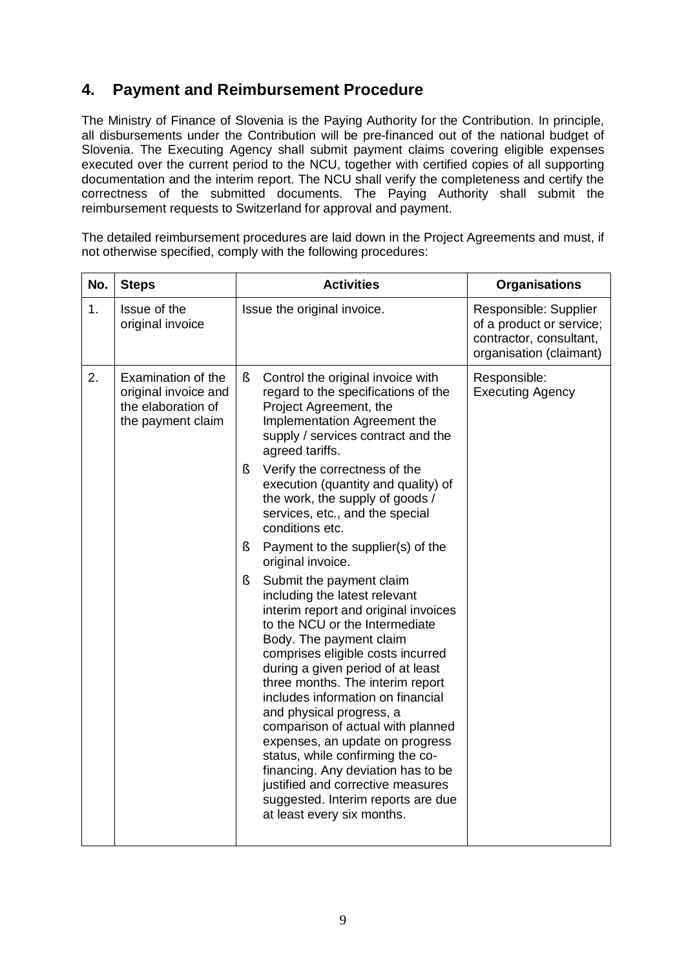# **4. Payment and Reimbursement Procedure**

The Ministry of Finance of Slovenia is the Paying Authority for the Contribution. In principle, all disbursements under the Contribution will be pre-financed out of the national budget of Slovenia. The Executing Agency shall submit payment claims covering eligible expenses executed over the current period to the NCU, together with certified copies of all supporting documentation and the interim report. The NCU shall verify the completeness and certify the correctness of the submitted documents. The Paying Authority shall submit the reimbursement requests to Switzerland for approval and payment.

The detailed reimbursement procedures are laid down in the Project Agreements and must, if not otherwise specified, comply with the following procedures:

| No. | <b>Steps</b>                                                                          | <b>Activities</b>                                                                                                                                                                                                                                                                                                                                                                                                                                                                                                                                                                                             | <b>Organisations</b>                                                                                    |
|-----|---------------------------------------------------------------------------------------|---------------------------------------------------------------------------------------------------------------------------------------------------------------------------------------------------------------------------------------------------------------------------------------------------------------------------------------------------------------------------------------------------------------------------------------------------------------------------------------------------------------------------------------------------------------------------------------------------------------|---------------------------------------------------------------------------------------------------------|
| 1.  | Issue of the<br>original invoice                                                      | Issue the original invoice.                                                                                                                                                                                                                                                                                                                                                                                                                                                                                                                                                                                   | Responsible: Supplier<br>of a product or service;<br>contractor, consultant,<br>organisation (claimant) |
| 2.  | Examination of the<br>original invoice and<br>the elaboration of<br>the payment claim | $\S$<br>Control the original invoice with<br>regard to the specifications of the<br>Project Agreement, the<br>Implementation Agreement the<br>supply / services contract and the<br>agreed tariffs.                                                                                                                                                                                                                                                                                                                                                                                                           | Responsible:<br><b>Executing Agency</b>                                                                 |
|     |                                                                                       | Verify the correctness of the<br>ş<br>execution (quantity and quality) of<br>the work, the supply of goods /<br>services, etc., and the special<br>conditions etc.                                                                                                                                                                                                                                                                                                                                                                                                                                            |                                                                                                         |
|     |                                                                                       | Payment to the supplier(s) of the<br>ş<br>original invoice.                                                                                                                                                                                                                                                                                                                                                                                                                                                                                                                                                   |                                                                                                         |
|     |                                                                                       | Submit the payment claim<br>ş<br>including the latest relevant<br>interim report and original invoices<br>to the NCU or the Intermediate<br>Body. The payment claim<br>comprises eligible costs incurred<br>during a given period of at least<br>three months. The interim report<br>includes information on financial<br>and physical progress, a<br>comparison of actual with planned<br>expenses, an update on progress<br>status, while confirming the co-<br>financing. Any deviation has to be<br>justified and corrective measures<br>suggested. Interim reports are due<br>at least every six months. |                                                                                                         |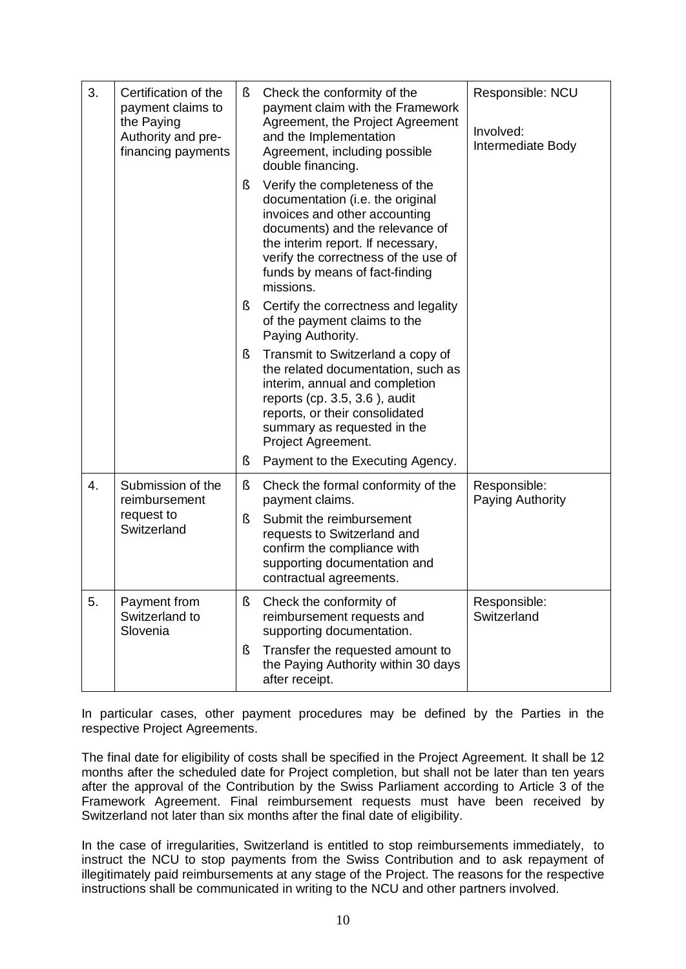| 3. | Certification of the<br>payment claims to<br>the Paying<br>Authority and pre-<br>financing payments | §. | Check the conformity of the<br>payment claim with the Framework<br>Agreement, the Project Agreement<br>and the Implementation<br>Agreement, including possible<br>double financing.                                                                                | Responsible: NCU<br>Involved:<br>Intermediate Body |
|----|-----------------------------------------------------------------------------------------------------|----|--------------------------------------------------------------------------------------------------------------------------------------------------------------------------------------------------------------------------------------------------------------------|----------------------------------------------------|
|    |                                                                                                     | ş  | Verify the completeness of the<br>documentation (i.e. the original<br>invoices and other accounting<br>documents) and the relevance of<br>the interim report. If necessary,<br>verify the correctness of the use of<br>funds by means of fact-finding<br>missions. |                                                    |
|    |                                                                                                     | ş  | Certify the correctness and legality<br>of the payment claims to the<br>Paying Authority.                                                                                                                                                                          |                                                    |
|    |                                                                                                     | ş  | Transmit to Switzerland a copy of<br>the related documentation, such as<br>interim, annual and completion<br>reports (cp. $3.5, 3.6$ ), audit<br>reports, or their consolidated<br>summary as requested in the<br>Project Agreement.                               |                                                    |
|    |                                                                                                     | ş  | Payment to the Executing Agency.                                                                                                                                                                                                                                   |                                                    |
| 4. | Submission of the<br>reimbursement                                                                  | ş  | Check the formal conformity of the<br>payment claims.                                                                                                                                                                                                              | Responsible:<br>Paying Authority                   |
|    | request to<br>Switzerland                                                                           | ş  | Submit the reimbursement<br>requests to Switzerland and<br>confirm the compliance with<br>supporting documentation and<br>contractual agreements.                                                                                                                  |                                                    |
| 5. | Payment from<br>Switzerland to<br>Slovenia                                                          | ş  | Check the conformity of<br>reimbursement requests and<br>supporting documentation.                                                                                                                                                                                 | Responsible:<br>Switzerland                        |
|    |                                                                                                     | ş  | Transfer the requested amount to<br>the Paying Authority within 30 days<br>after receipt.                                                                                                                                                                          |                                                    |

In particular cases, other payment procedures may be defined by the Parties in the respective Project Agreements.

The final date for eligibility of costs shall be specified in the Project Agreement. It shall be 12 months after the scheduled date for Project completion, but shall not be later than ten years after the approval of the Contribution by the Swiss Parliament according to Article 3 of the Framework Agreement. Final reimbursement requests must have been received by Switzerland not later than six months after the final date of eligibility.

In the case of irregularities, Switzerland is entitled to stop reimbursements immediately, to instruct the NCU to stop payments from the Swiss Contribution and to ask repayment of illegitimately paid reimbursements at any stage of the Project. The reasons for the respective instructions shall be communicated in writing to the NCU and other partners involved.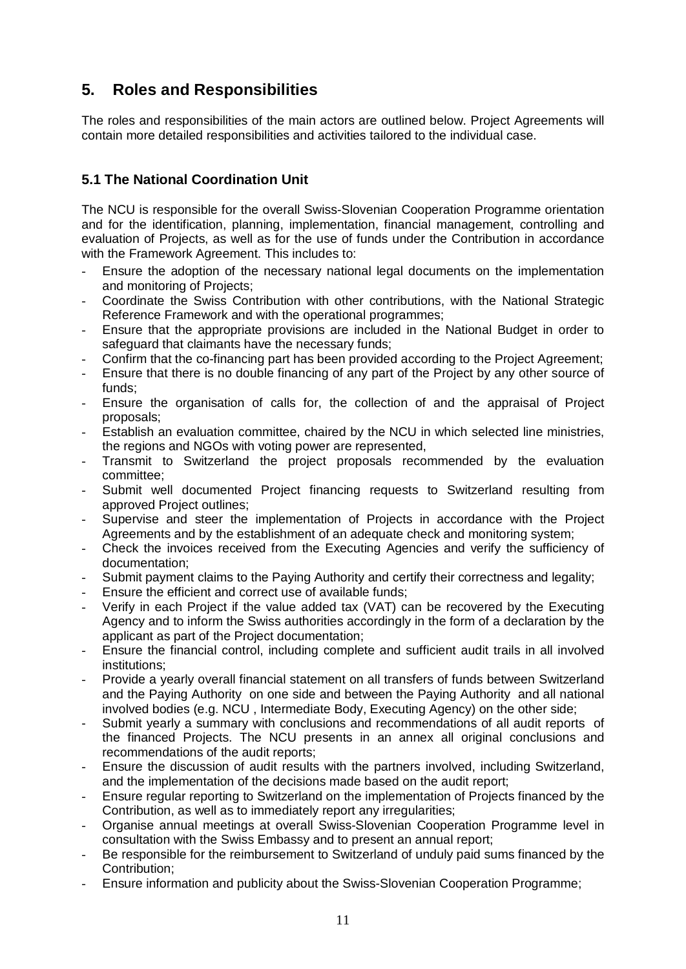# **5. Roles and Responsibilities**

The roles and responsibilities of the main actors are outlined below. Project Agreements will contain more detailed responsibilities and activities tailored to the individual case.

## **5.1 The National Coordination Unit**

The NCU is responsible for the overall Swiss-Slovenian Cooperation Programme orientation and for the identification, planning, implementation, financial management, controlling and evaluation of Projects, as well as for the use of funds under the Contribution in accordance with the Framework Agreement. This includes to:

- Ensure the adoption of the necessary national legal documents on the implementation and monitoring of Projects;
- Coordinate the Swiss Contribution with other contributions, with the National Strategic Reference Framework and with the operational programmes;
- Ensure that the appropriate provisions are included in the National Budget in order to safeguard that claimants have the necessary funds;
- Confirm that the co-financing part has been provided according to the Project Agreement;
- Ensure that there is no double financing of any part of the Project by any other source of funds;
- Ensure the organisation of calls for, the collection of and the appraisal of Project proposals;
- Establish an evaluation committee, chaired by the NCU in which selected line ministries, the regions and NGOs with voting power are represented,
- Transmit to Switzerland the project proposals recommended by the evaluation committee;
- Submit well documented Project financing requests to Switzerland resulting from approved Project outlines:
- Supervise and steer the implementation of Projects in accordance with the Project Agreements and by the establishment of an adequate check and monitoring system;
- Check the invoices received from the Executing Agencies and verify the sufficiency of documentation;
- Submit payment claims to the Paying Authority and certify their correctness and legality;
- Ensure the efficient and correct use of available funds;
- Verify in each Project if the value added tax (VAT) can be recovered by the Executing Agency and to inform the Swiss authorities accordingly in the form of a declaration by the applicant as part of the Project documentation;
- Ensure the financial control, including complete and sufficient audit trails in all involved institutions;
- Provide a yearly overall financial statement on all transfers of funds between Switzerland and the Paying Authority on one side and between the Paying Authority and all national involved bodies (e.g. NCU , Intermediate Body, Executing Agency) on the other side;
- Submit yearly a summary with conclusions and recommendations of all audit reports of the financed Projects. The NCU presents in an annex all original conclusions and recommendations of the audit reports;
- Ensure the discussion of audit results with the partners involved, including Switzerland, and the implementation of the decisions made based on the audit report;
- Ensure regular reporting to Switzerland on the implementation of Projects financed by the Contribution, as well as to immediately report any irregularities;
- Organise annual meetings at overall Swiss-Slovenian Cooperation Programme level in consultation with the Swiss Embassy and to present an annual report;
- Be responsible for the reimbursement to Switzerland of unduly paid sums financed by the Contribution;
- Ensure information and publicity about the Swiss-Slovenian Cooperation Programme;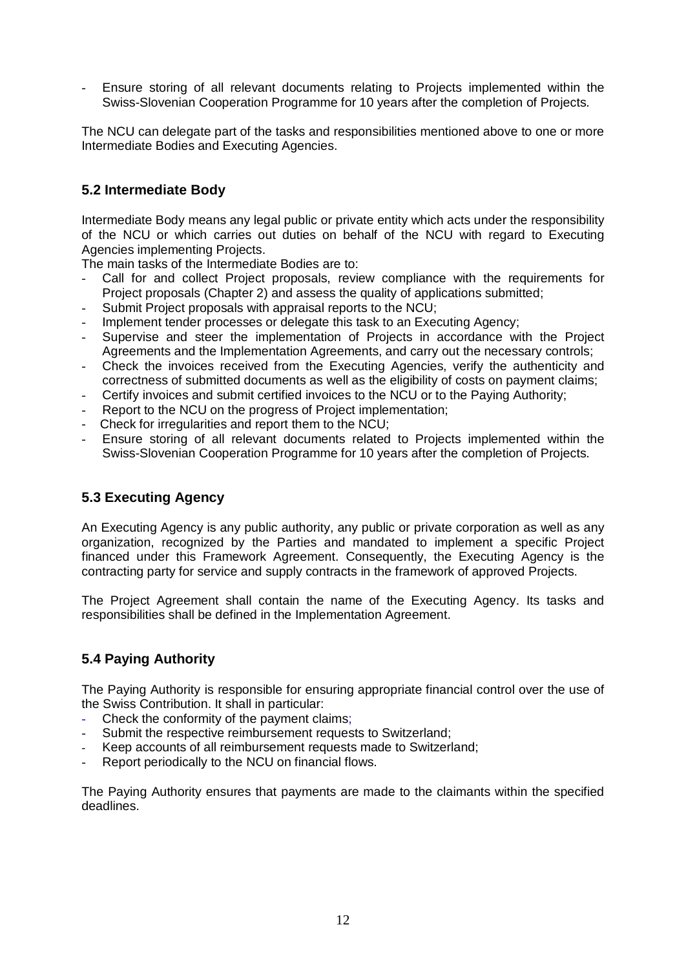Ensure storing of all relevant documents relating to Projects implemented within the Swiss-Slovenian Cooperation Programme for 10 years after the completion of Projects.

The NCU can delegate part of the tasks and responsibilities mentioned above to one or more Intermediate Bodies and Executing Agencies.

### **5.2 Intermediate Body**

Intermediate Body means any legal public or private entity which acts under the responsibility of the NCU or which carries out duties on behalf of the NCU with regard to Executing Agencies implementing Projects.

The main tasks of the Intermediate Bodies are to:

- Call for and collect Project proposals, review compliance with the requirements for Project proposals (Chapter 2) and assess the quality of applications submitted;
- Submit Project proposals with appraisal reports to the NCU:
- Implement tender processes or delegate this task to an Executing Agency;
- Supervise and steer the implementation of Projects in accordance with the Project Agreements and the Implementation Agreements, and carry out the necessary controls;
- Check the invoices received from the Executing Agencies, verify the authenticity and correctness of submitted documents as well as the eligibility of costs on payment claims;
- Certify invoices and submit certified invoices to the NCU or to the Paying Authority;
- Report to the NCU on the progress of Project implementation:
- Check for irregularities and report them to the NCU;
- Ensure storing of all relevant documents related to Projects implemented within the Swiss-Slovenian Cooperation Programme for 10 years after the completion of Projects.

### **5.3 Executing Agency**

An Executing Agency is any public authority, any public or private corporation as well as any organization, recognized by the Parties and mandated to implement a specific Project financed under this Framework Agreement. Consequently, the Executing Agency is the contracting party for service and supply contracts in the framework of approved Projects.

The Project Agreement shall contain the name of the Executing Agency. Its tasks and responsibilities shall be defined in the Implementation Agreement.

### **5.4 Paying Authority**

The Paying Authority is responsible for ensuring appropriate financial control over the use of the Swiss Contribution. It shall in particular:

- Check the conformity of the payment claims;
- Submit the respective reimbursement requests to Switzerland:
- Keep accounts of all reimbursement requests made to Switzerland;
- Report periodically to the NCU on financial flows.

The Paying Authority ensures that payments are made to the claimants within the specified deadlines.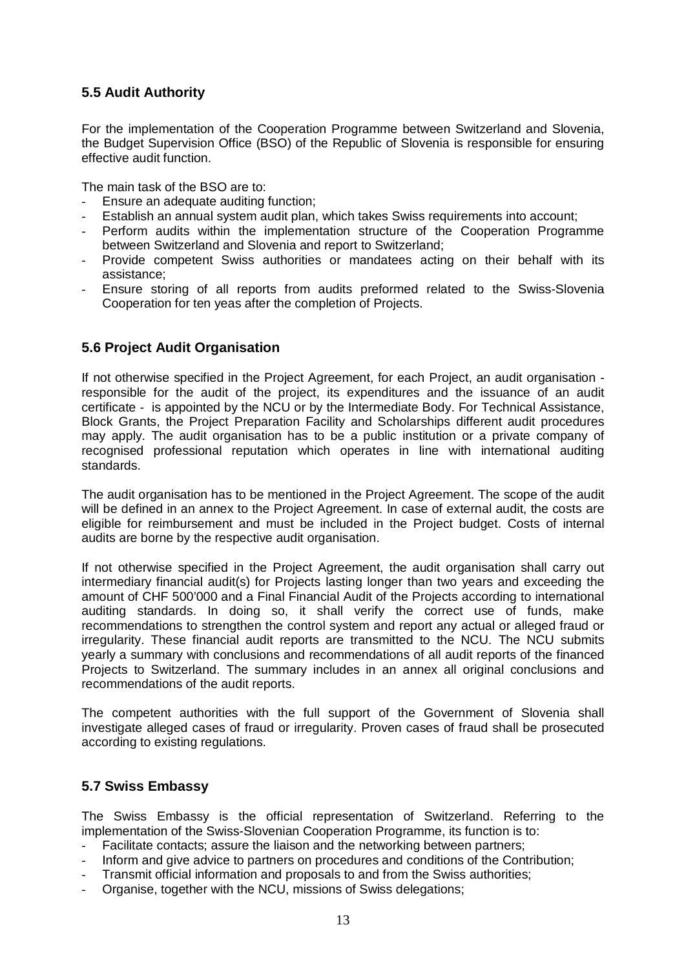### **5.5 Audit Authority**

For the implementation of the Cooperation Programme between Switzerland and Slovenia, the Budget Supervision Office (BSO) of the Republic of Slovenia is responsible for ensuring effective audit function.

The main task of the BSO are to:

- Ensure an adequate auditing function;
- Establish an annual system audit plan, which takes Swiss requirements into account;
- Perform audits within the implementation structure of the Cooperation Programme between Switzerland and Slovenia and report to Switzerland;
- Provide competent Swiss authorities or mandatees acting on their behalf with its assistance;
- Ensure storing of all reports from audits preformed related to the Swiss-Slovenia Cooperation for ten yeas after the completion of Projects.

#### **5.6 Project Audit Organisation**

If not otherwise specified in the Project Agreement, for each Project, an audit organisation responsible for the audit of the project, its expenditures and the issuance of an audit certificate - is appointed by the NCU or by the Intermediate Body. For Technical Assistance, Block Grants, the Project Preparation Facility and Scholarships different audit procedures may apply. The audit organisation has to be a public institution or a private company of recognised professional reputation which operates in line with international auditing standards.

The audit organisation has to be mentioned in the Project Agreement. The scope of the audit will be defined in an annex to the Project Agreement. In case of external audit, the costs are eligible for reimbursement and must be included in the Project budget. Costs of internal audits are borne by the respective audit organisation.

If not otherwise specified in the Project Agreement, the audit organisation shall carry out intermediary financial audit(s) for Projects lasting longer than two years and exceeding the amount of CHF 500'000 and a Final Financial Audit of the Projects according to international auditing standards. In doing so, it shall verify the correct use of funds, make recommendations to strengthen the control system and report any actual or alleged fraud or irregularity. These financial audit reports are transmitted to the NCU. The NCU submits yearly a summary with conclusions and recommendations of all audit reports of the financed Projects to Switzerland. The summary includes in an annex all original conclusions and recommendations of the audit reports.

The competent authorities with the full support of the Government of Slovenia shall investigate alleged cases of fraud or irregularity. Proven cases of fraud shall be prosecuted according to existing regulations.

#### **5.7 Swiss Embassy**

The Swiss Embassy is the official representation of Switzerland. Referring to the implementation of the Swiss-Slovenian Cooperation Programme, its function is to:

- Facilitate contacts; assure the liaison and the networking between partners;
- Inform and give advice to partners on procedures and conditions of the Contribution;
- Transmit official information and proposals to and from the Swiss authorities;
- Organise, together with the NCU, missions of Swiss delegations;